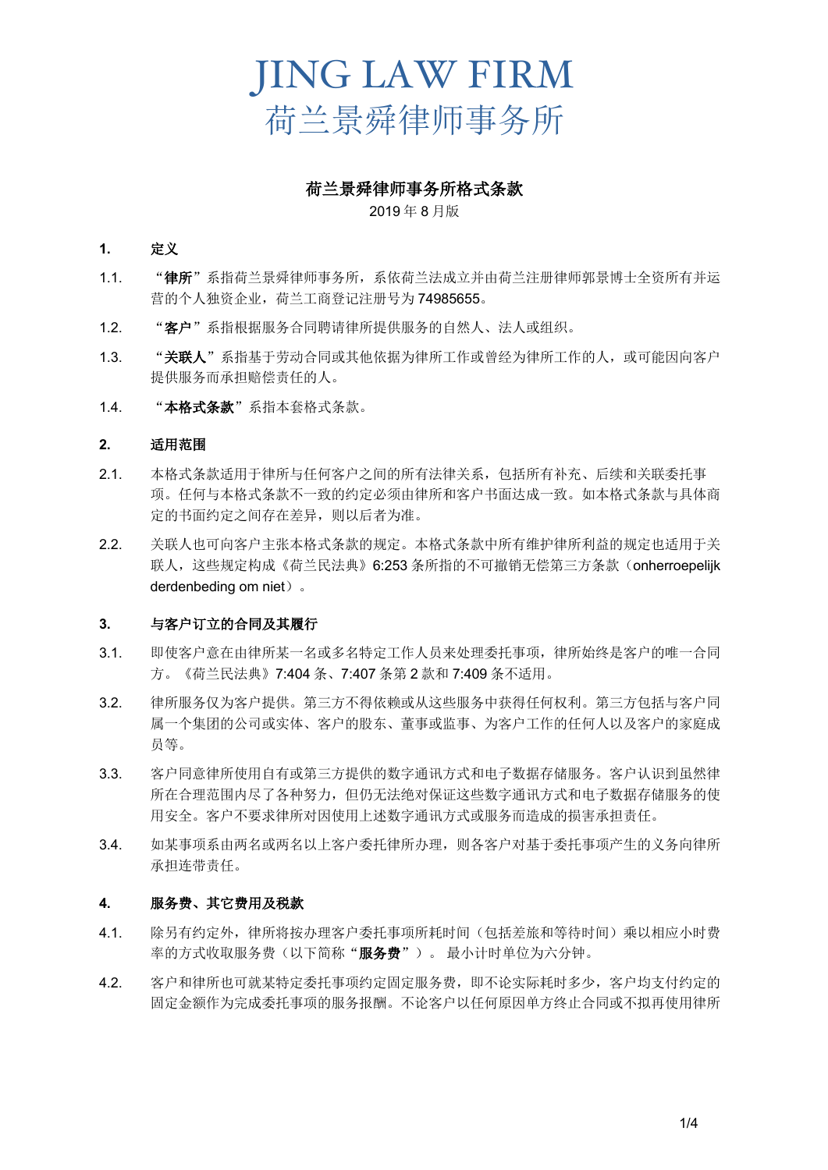荷兰景舜律师事务所格式条款

#### 2019 年 8 月版

#### **1.** 定义

- 1.1. "律所"系指荷兰景舜律师事务所,系依荷兰法成立并由荷兰注册律师郭景博士全资所有并运 营的个人独资企业,荷兰工商登记注册号为 74985655。
- 1.2. "客户"系指根据服务合同聘请律所提供服务的自然人、法人或组织。
- 1.3. "关联人"系指基于劳动合同或其他依据为律所工作或曾经为律所工作的人,或可能因向客户 提供服务而承担赔偿责任的人。
- 1.4. "本格式条款"系指本套格式条款。

## **2.** 适用范围

- 2.1. 本格式条款适用于律所与任何客户之间的所有法律关系,包括所有补充、后续和关联委托事 项。任何与本格式条款不一致的约定必须由律所和客户书面达成一致。如本格式条款与具体商 定的书面约定之间存在差异,则以后者为准。
- 2.2. 关联人也可向客户主张本格式条款的规定。本格式条款中所有维护律所利益的规定也适用于关 联人,这些规定构成《荷兰民法典》6:253 条所指的不可撤销无偿第三方条款(onherroepelijk derdenbeding om niet)。

## **3.** 与客户订立的合同及其履行

- 3.1. 即使客户意在由律所某一名或多名特定工作人员来处理委托事项,律所始终是客户的唯一合同 方。《荷兰民法典》7:404 条、7:407 条第 2 款和 7:409 条不适用。
- 3.2. 律所服务仅为客户提供。第三方不得依赖或从这些服务中获得任何权利。第三方包括与客户同 属一个集团的公司或实体、客户的股东、董事或监事、为客户工作的任何人以及客户的家庭成 员等。
- 3.3. 客户同意律所使用自有或第三方提供的数字通讯方式和电子数据存储服务。客户认识到虽然律 所在合理范围内尽了各种努力,但仍无法绝对保证这些数字通讯方式和电子数据存储服务的使 用安全。客户不要求律所对因使用上述数字通讯方式或服务而造成的损害承担责任。
- 3.4. 如某事项系由两名或两名以上客户委托律所办理,则各客户对基于委托事项产生的义务向律所 承担连带责任。

## **4.** 服务费、其它费用及税款

- 4.1. 除另有约定外,律所将按办理客户委托事项所耗时间(包括差旅和等待时间)乘以相应小时费 率的方式收取服务费(以下简称"服务费")。最小计时单位为六分钟。
- 4.2. 客户和律所也可就某特定委托事项约定固定服务费,即不论实际耗时多少,客户均支付约定的 固定金额作为完成委托事项的服务报酬。不论客户以任何原因单方终止合同或不拟再使用律所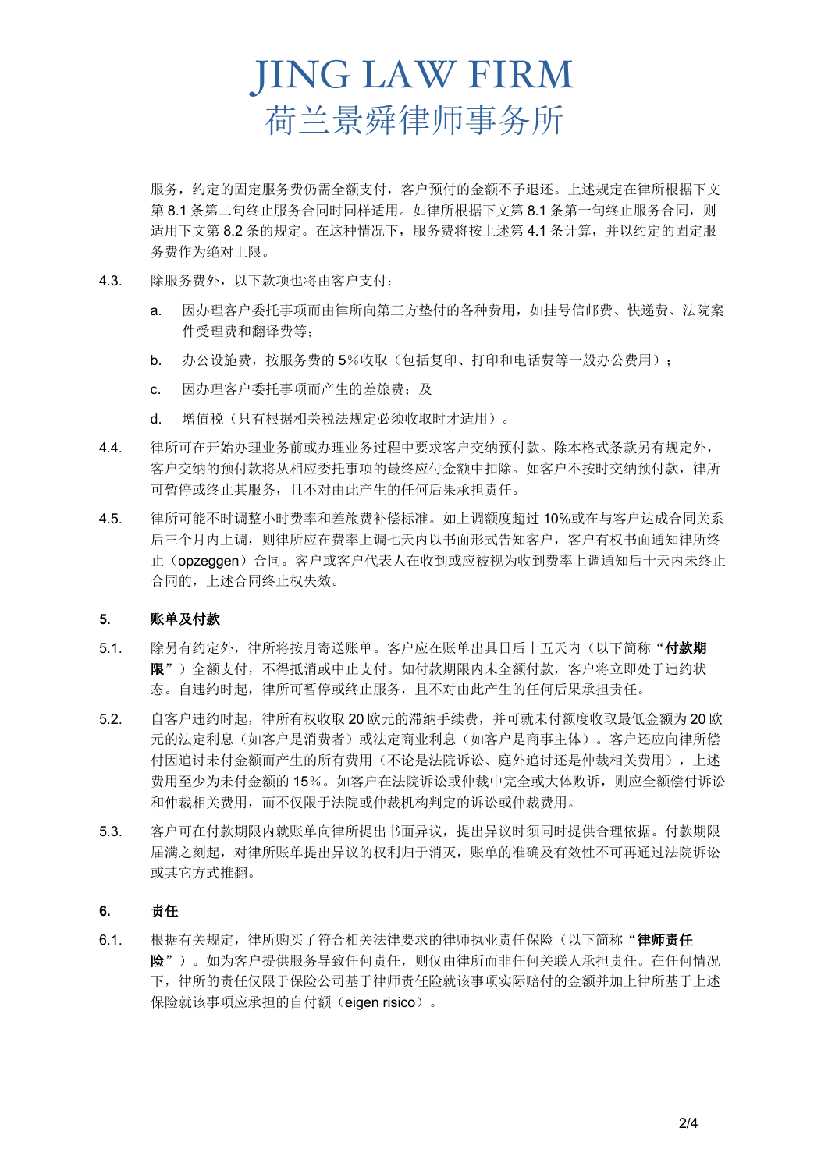服务,约定的固定服务费仍需全额支付,客户预付的金额不予退还。上述规定在律所根据下文 第 8.1 条第二句终止服务合同时同样适用。如律所根据下文第 8.1 条第一句终止服务合同, 则 适用下文第 8.2 条的规定。在这种情况下,服务费将按上述第 4.1 条计算,并以约定的固定服 务费作为绝对上限。

- 4.3. 除服务费外,以下款项也将由客户支付:
	- a. 因办理客户委托事项而由律所向第三方垫付的各种费用,如挂号信邮费、快递费、法院案 件受理费和翻译费等;
	- b. 办公设施费,按服务费的 5%收取(包括复印、打印和电话费等一般办公费用);
	- c. 因办理客户委托事项而产生的差旅费;及
	- d. 增值税(只有根据相关税法规定必须收取时才适用)。
- 4.4. 律所可在开始办理业务前或办理业务过程中要求客户交纳预付款。除本格式条款另有规定外, 客户交纳的预付款将从相应委托事项的最终应付金额中扣除。如客户不按时交纳预付款,律所 可暂停或终止其服务,且不对由此产生的任何后果承担责任。
- 4.5. 律所可能不时调整小时费率和差旅费补偿标准。如上调额度超过 10%或在与客户达成合同关系 后三个月内上调,则律所应在费率上调七天内以书面形式告知客户,客户有权书面通知律所终 止(opzeggen)合同。客户或客户代表人在收到或应被视为收到费率上调通知后十天内未终止 合同的,上述合同终止权失效。

#### **5.** 账单及付款

- 5.1. 除另有约定外,律所将按月寄送账单。客户应在账单出具日后十五天内(以下简称"付款期 限")全额支付,不得抵消或中止支付。如付款期限内未全额付款,客户将立即处于违约状 态。自违约时起,律所可暂停或终止服务,且不对由此产生的任何后果承担责任。
- 5.2. 自客户违约时起,律所有权收取 20 欧元的滞纳手续费,并可就未付额度收取最低金额为 20 欧 元的法定利息(如客户是消费者)或法定商业利息(如客户是商事主体)。客户还应向律所偿 付因追讨未付金额而产生的所有费用(不论是法院诉讼、庭外追讨还是仲裁相关费用),上述 费用至少为未付金额的 15%。如客户在法院诉讼或仲裁中完全或大体败诉,则应全额偿付诉讼 和仲裁相关费用,而不仅限于法院或仲裁机构判定的诉讼或仲裁费用。
- 5.3. 客户可在付款期限内就账单向律所提出书面异议,提出异议时须同时提供合理依据。付款期限 届满之刻起,对律所账单提出异议的权利归于消灭,账单的准确及有效性不可再通过法院诉讼 或其它方式推翻。

#### **6.** 责任

6.1. 根据有关规定,律所购买了符合相关法律要求的律师执业责任保险(以下简称"律师责任 险")。如为客户提供服务导致任何责任,则仅由律所而非任何关联人承担责任。在任何情况 下,律所的责任仅限于保险公司基于律师责任险就该事项实际赔付的金额并加上律所基于上述 保险就该事项应承担的自付额(eigen risico)。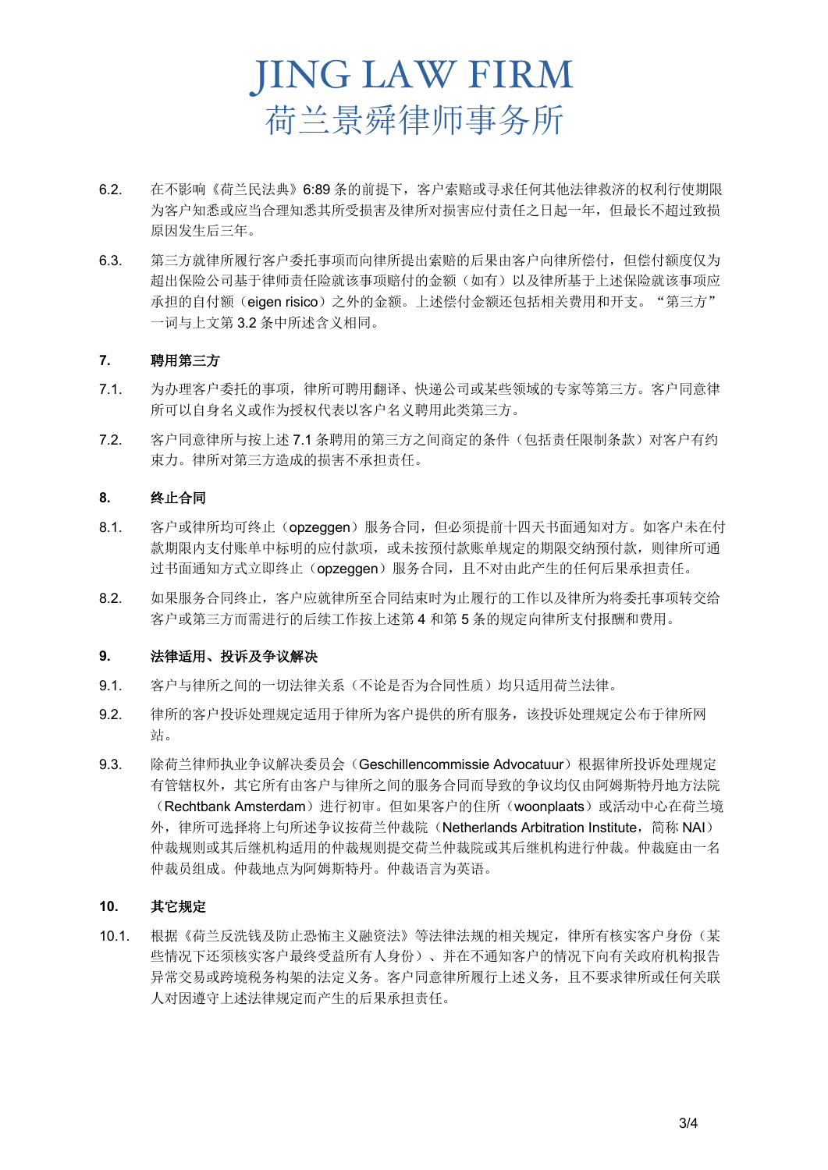- 6.2. 在不影响《荷兰民法典》6:89 条的前提下,客户索赔或寻求任何其他法律救济的权利行使期限 为客户知悉或应当合理知悉其所受损害及律所对损害应付责任之日起一年,但最长不超过致损 原因发生后三年。
- 6.3. 第三方就律所履行客户委托事项而向律所提出索赔的后果由客户向律所偿付,但偿付额度仅为 超出保险公司基于律师责任险就该事项赔付的金额(如有)以及律所基于上述保险就该事项应 承担的自付额(eigen risico)之外的金额。上述偿付金额还包括相关费用和开支。"第三方" 一词与上文第 3.2 条中所述含义相同。

#### **7.** 聘用第三方

- 7.1. 为办理客户委托的事项,律所可聘用翻译、快递公司或某些领域的专家等第三方。客户同意律 所可以自身名义或作为授权代表以客户名义聘用此类第三方。
- 7.2. 客户同意律所与按上述 7.1 条聘用的第三方之间商定的条件(包括责任限制条款)对客户有约 束力。律所对第三方造成的损害不承担责任。

#### **8.** 终止合同

- 8.1. 客户或律所均可终止(opzeggen)服务合同,但必须提前十四天书面通知对方。如客户未在付 款期限内支付账单中标明的应付款项,或未按预付款账单规定的期限交纳预付款,则律所可通 过书面通知方式立即终止(opzeqgen)服务合同,且不对由此产生的任何后果承担责任。
- 8.2. 如果服务合同终止,客户应就律所至合同结束时为止履行的工作以及律所为将委托事项转交给 客户或第三方而需进行的后续工作按上述第 4 和第 5 条的规定向律所支付报酬和费用。

#### **9.** 法律适用、投诉及争议解决

- 9.1. 客户与律所之间的一切法律关系(不论是否为合同性质)均只适用荷兰法律。
- 9.2. 律所的客户投诉处理规定适用于律所为客户提供的所有服务,该投诉处理规定公布于律所网 站。
- 9.3. 除荷兰律师执业争议解决委员会(Geschillencommissie Advocatuur)根据律所投诉处理规定 有管辖权外,其它所有由客户与律所之间的服务合同而导致的争议均仅由阿姆斯特丹地方法院 (Rechtbank Amsterdam)进行初审。但如果客户的住所(woonplaats)或活动中心在荷兰境 外,律所可选择将上句所述争议按荷兰仲裁院(Netherlands Arbitration Institute,简称 NAI) 仲裁规则或其后继机构适用的仲裁规则提交荷兰仲裁院或其后继机构进行仲裁。仲裁庭由一名 仲裁员组成。仲裁地点为阿姆斯特丹。仲裁语言为英语。

#### **10.** 其它规定

10.1. 根据《荷兰反洗钱及防止恐怖主义融资法》等法律法规的相关规定,律所有核实客户身份(某 些情况下还须核实客户最终受益所有人身份)、并在不通知客户的情况下向有关政府机构报告 异常交易或跨境税务构架的法定义务。客户同意律所履行上述义务,且不要求律所或任何关联 人对因遵守上述法律规定而产生的后果承担责任。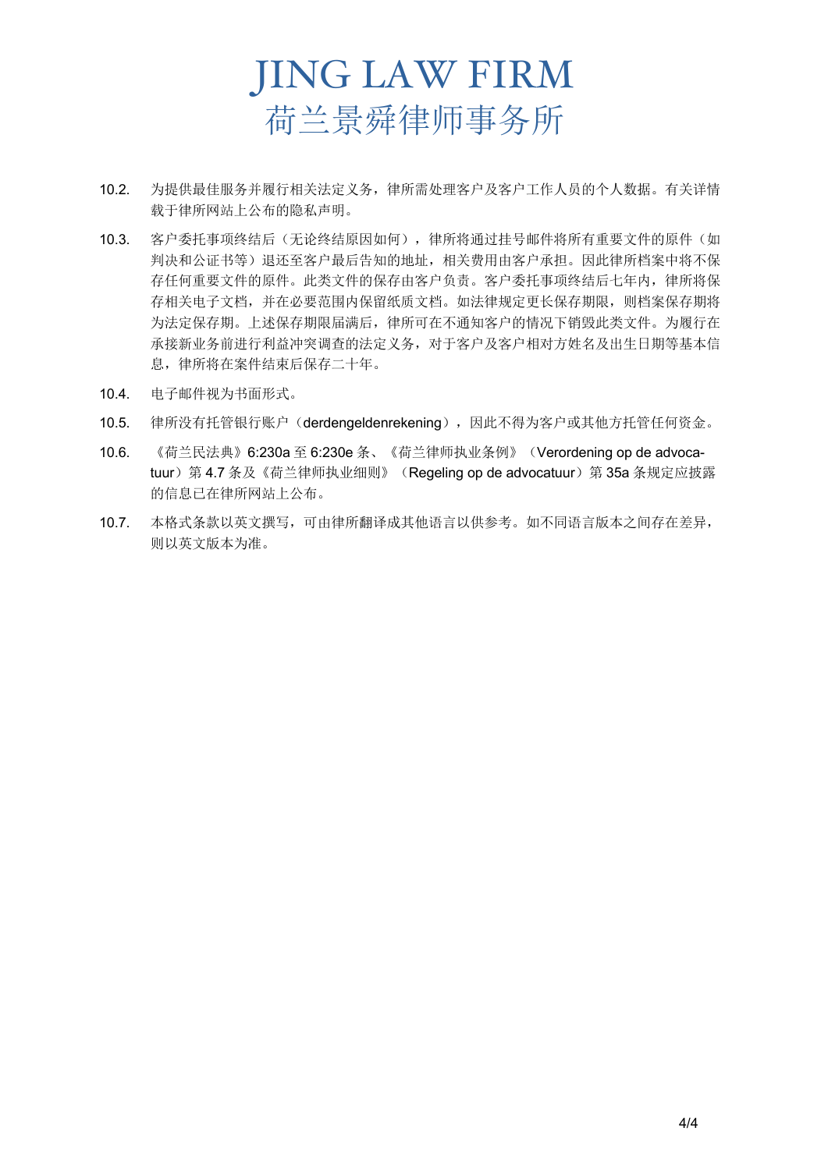- 10.2. 为提供最佳服务并履行相关法定义务,律所需处理客户及客户工作人员的个人数据。有关详情 载于律所网站上公布的隐私声明。
- 10.3. 客户委托事项终结后(无论终结原因如何),律所将通过挂号邮件将所有重要文件的原件(如 判决和公证书等)退还至客户最后告知的地址,相关费用由客户承担。因此律所档案中将不保 存任何重要文件的原件。此类文件的保存由客户负责。客户委托事项终结后七年内,律所将保 存相关电子文档,并在必要范围内保留纸质文档。如法律规定更长保存期限,则档案保存期将 为法定保存期。上述保存期限届满后,律所可在不通知客户的情况下销毁此类文件。为履行在 承接新业务前进行利益冲突调查的法定义务,对于客户及客户相对方姓名及出生日期等基本信 息,律所将在案件结束后保存二十年。
- 10.4. 电子邮件视为书面形式。
- 10.5. 律所没有托管银行账户(derdengeldenrekening),因此不得为客户或其他方托管任何资金。
- 10.6. 《荷兰民法典》6:230a 至 6:230e 条、《荷兰律师执业条例》(Verordening op de advocatuur) 第 4.7 条及《荷兰律师执业细则》(Regeling op de advocatuur) 第 35a 条规定应披露 的信息已在律所网站上公布。
- 10.7. 本格式条款以英文撰写,可由律所翻译成其他语言以供参考。如不同语言版本之间存在差异, 则以英文版本为准。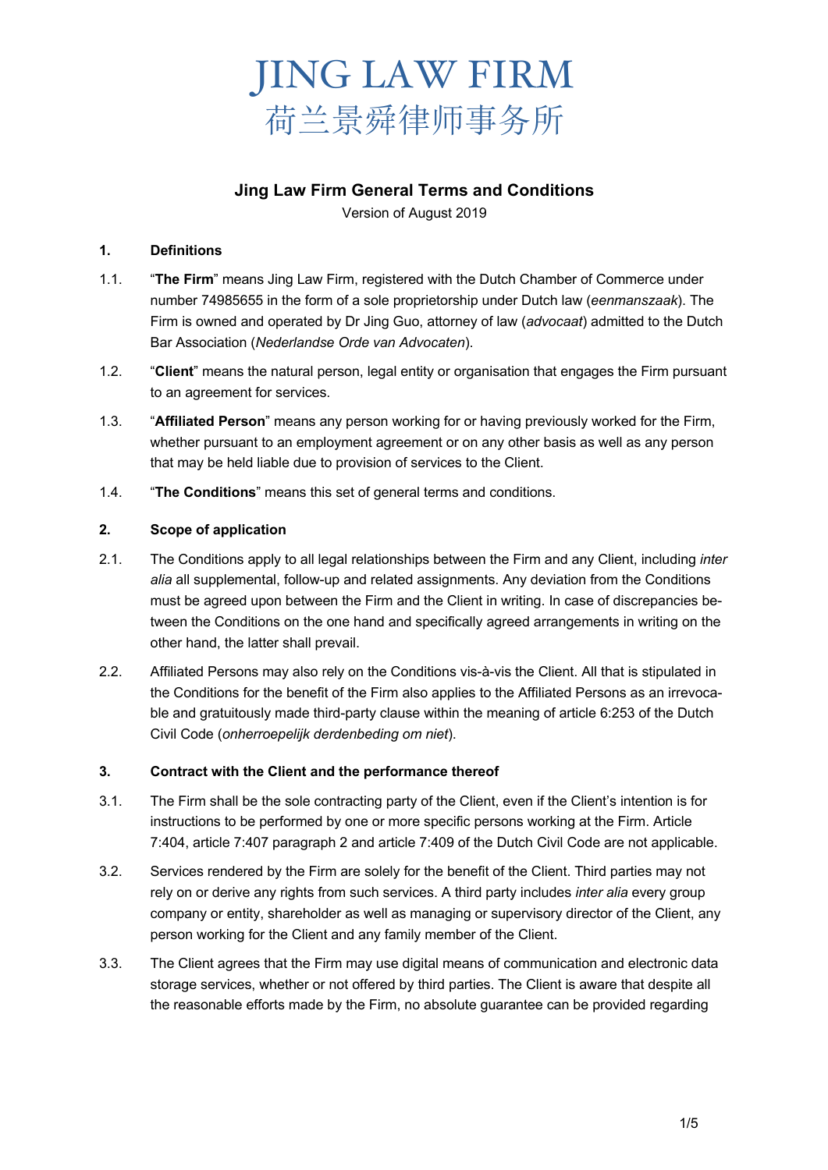

# **Jing Law Firm General Terms and Conditions**

Version of August 2019

#### **1. Definitions**

- 1.1. "**The Firm**" means Jing Law Firm, registered with the Dutch Chamber of Commerce under number 74985655 in the form of a sole proprietorship under Dutch law (*eenmanszaak*). The Firm is owned and operated by Dr Jing Guo, attorney of law (*advocaat*) admitted to the Dutch Bar Association (*Nederlandse Orde van Advocaten*).
- 1.2. "**Client**" means the natural person, legal entity or organisation that engages the Firm pursuant to an agreement for services.
- 1.3. "**Affiliated Person**" means any person working for or having previously worked for the Firm, whether pursuant to an employment agreement or on any other basis as well as any person that may be held liable due to provision of services to the Client.
- 1.4. "**The Conditions**" means this set of general terms and conditions.

# **2. Scope of application**

- 2.1. The Conditions apply to all legal relationships between the Firm and any Client, including *inter alia* all supplemental, follow-up and related assignments. Any deviation from the Conditions must be agreed upon between the Firm and the Client in writing. In case of discrepancies between the Conditions on the one hand and specifically agreed arrangements in writing on the other hand, the latter shall prevail.
- 2.2. Affiliated Persons may also rely on the Conditions vis-à-vis the Client. All that is stipulated in the Conditions for the benefit of the Firm also applies to the Affiliated Persons as an irrevocable and gratuitously made third-party clause within the meaning of article 6:253 of the Dutch Civil Code (*onherroepelijk derdenbeding om niet*).

#### **3. Contract with the Client and the performance thereof**

- 3.1. The Firm shall be the sole contracting party of the Client, even if the Client's intention is for instructions to be performed by one or more specific persons working at the Firm. Article 7:404, article 7:407 paragraph 2 and article 7:409 of the Dutch Civil Code are not applicable.
- 3.2. Services rendered by the Firm are solely for the benefit of the Client. Third parties may not rely on or derive any rights from such services. A third party includes *inter alia* every group company or entity, shareholder as well as managing or supervisory director of the Client, any person working for the Client and any family member of the Client.
- 3.3. The Client agrees that the Firm may use digital means of communication and electronic data storage services, whether or not offered by third parties. The Client is aware that despite all the reasonable efforts made by the Firm, no absolute guarantee can be provided regarding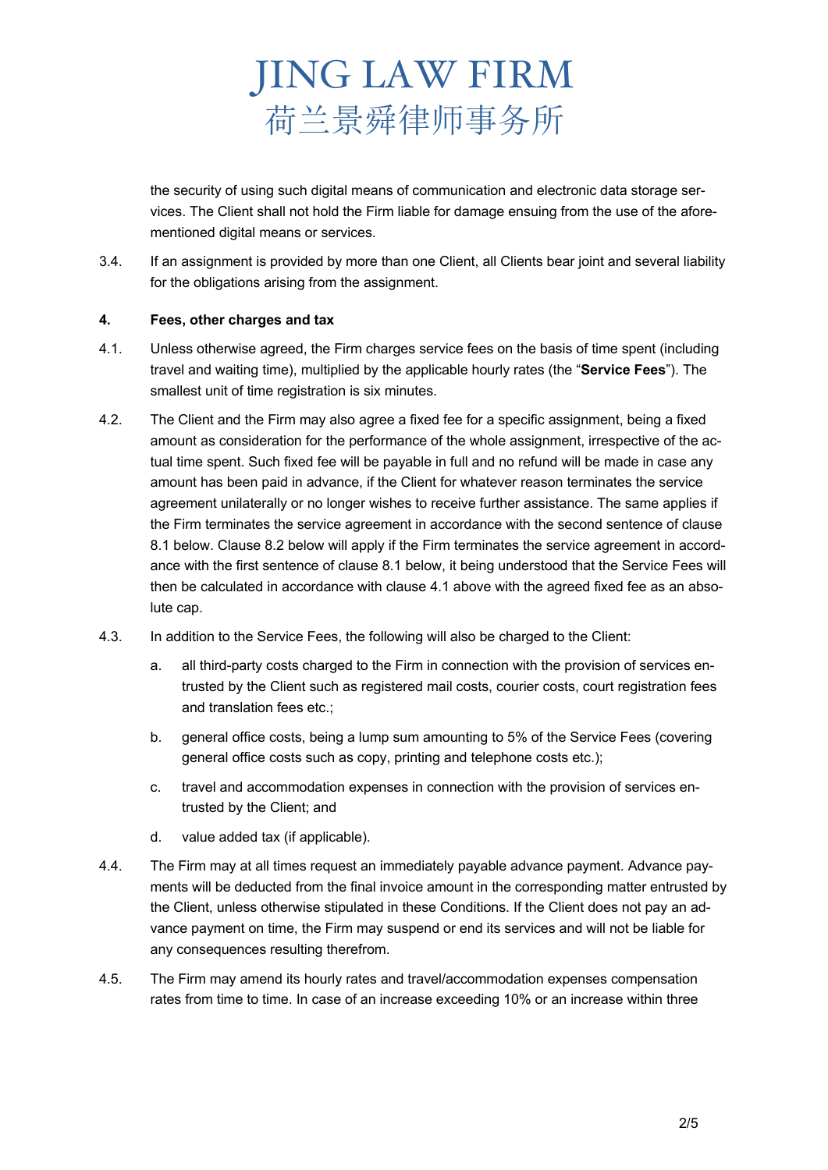the security of using such digital means of communication and electronic data storage services. The Client shall not hold the Firm liable for damage ensuing from the use of the aforementioned digital means or services.

3.4. If an assignment is provided by more than one Client, all Clients bear joint and several liability for the obligations arising from the assignment.

## **4. Fees, other charges and tax**

- 4.1. Unless otherwise agreed, the Firm charges service fees on the basis of time spent (including travel and waiting time), multiplied by the applicable hourly rates (the "**Service Fees**"). The smallest unit of time registration is six minutes.
- 4.2. The Client and the Firm may also agree a fixed fee for a specific assignment, being a fixed amount as consideration for the performance of the whole assignment, irrespective of the actual time spent. Such fixed fee will be payable in full and no refund will be made in case any amount has been paid in advance, if the Client for whatever reason terminates the service agreement unilaterally or no longer wishes to receive further assistance. The same applies if the Firm terminates the service agreement in accordance with the second sentence of clause 8.1 below. Clause 8.2 below will apply if the Firm terminates the service agreement in accordance with the first sentence of clause 8.1 below, it being understood that the Service Fees will then be calculated in accordance with clause 4.1 above with the agreed fixed fee as an absolute cap.
- 4.3. In addition to the Service Fees, the following will also be charged to the Client:
	- a. all third-party costs charged to the Firm in connection with the provision of services entrusted by the Client such as registered mail costs, courier costs, court registration fees and translation fees etc.;
	- b. general office costs, being a lump sum amounting to 5% of the Service Fees (covering general office costs such as copy, printing and telephone costs etc.);
	- c. travel and accommodation expenses in connection with the provision of services entrusted by the Client; and
	- d. value added tax (if applicable).
- 4.4. The Firm may at all times request an immediately payable advance payment. Advance payments will be deducted from the final invoice amount in the corresponding matter entrusted by the Client, unless otherwise stipulated in these Conditions. If the Client does not pay an advance payment on time, the Firm may suspend or end its services and will not be liable for any consequences resulting therefrom.
- 4.5. The Firm may amend its hourly rates and travel/accommodation expenses compensation rates from time to time. In case of an increase exceeding 10% or an increase within three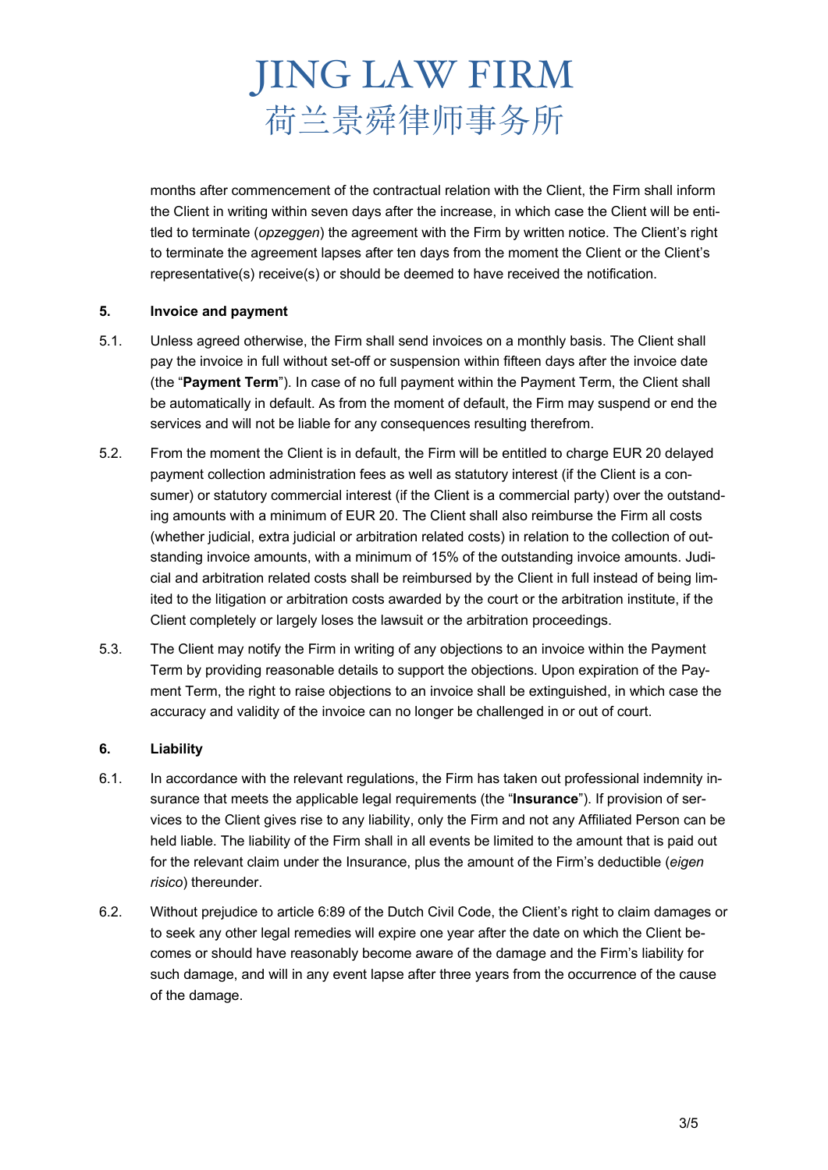months after commencement of the contractual relation with the Client, the Firm shall inform the Client in writing within seven days after the increase, in which case the Client will be entitled to terminate (*opzeggen*) the agreement with the Firm by written notice. The Client's right to terminate the agreement lapses after ten days from the moment the Client or the Client's representative(s) receive(s) or should be deemed to have received the notification.

## **5. Invoice and payment**

- 5.1. Unless agreed otherwise, the Firm shall send invoices on a monthly basis. The Client shall pay the invoice in full without set-off or suspension within fifteen days after the invoice date (the "**Payment Term**"). In case of no full payment within the Payment Term, the Client shall be automatically in default. As from the moment of default, the Firm may suspend or end the services and will not be liable for any consequences resulting therefrom.
- 5.2. From the moment the Client is in default, the Firm will be entitled to charge EUR 20 delayed payment collection administration fees as well as statutory interest (if the Client is a consumer) or statutory commercial interest (if the Client is a commercial party) over the outstanding amounts with a minimum of EUR 20. The Client shall also reimburse the Firm all costs (whether judicial, extra judicial or arbitration related costs) in relation to the collection of outstanding invoice amounts, with a minimum of 15% of the outstanding invoice amounts. Judicial and arbitration related costs shall be reimbursed by the Client in full instead of being limited to the litigation or arbitration costs awarded by the court or the arbitration institute, if the Client completely or largely loses the lawsuit or the arbitration proceedings.
- 5.3. The Client may notify the Firm in writing of any objections to an invoice within the Payment Term by providing reasonable details to support the objections. Upon expiration of the Payment Term, the right to raise objections to an invoice shall be extinguished, in which case the accuracy and validity of the invoice can no longer be challenged in or out of court.

#### **6. Liability**

- 6.1. In accordance with the relevant regulations, the Firm has taken out professional indemnity insurance that meets the applicable legal requirements (the "**Insurance**"). If provision of services to the Client gives rise to any liability, only the Firm and not any Affiliated Person can be held liable. The liability of the Firm shall in all events be limited to the amount that is paid out for the relevant claim under the Insurance, plus the amount of the Firm's deductible (*eigen risico*) thereunder.
- 6.2. Without prejudice to article 6:89 of the Dutch Civil Code, the Client's right to claim damages or to seek any other legal remedies will expire one year after the date on which the Client becomes or should have reasonably become aware of the damage and the Firm's liability for such damage, and will in any event lapse after three years from the occurrence of the cause of the damage.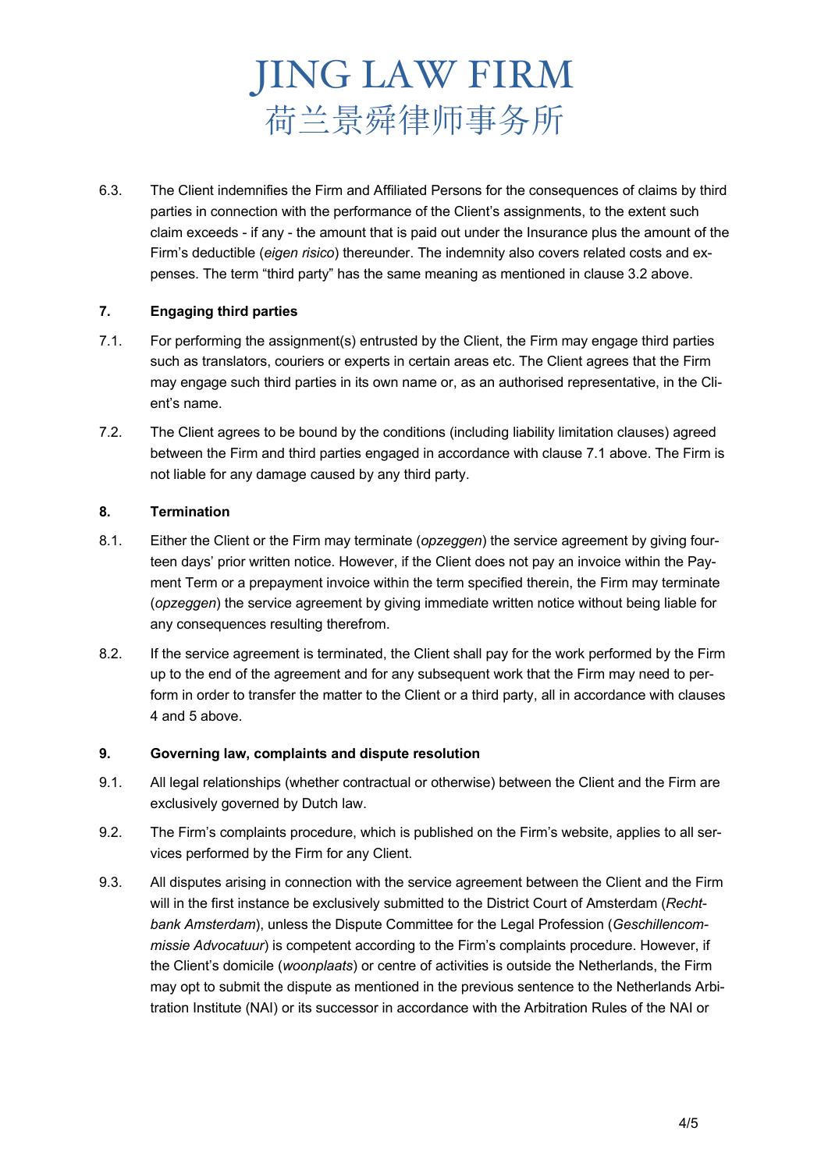6.3. The Client indemnifies the Firm and Affiliated Persons for the consequences of claims by third parties in connection with the performance of the Client's assignments, to the extent such claim exceeds - if any - the amount that is paid out under the Insurance plus the amount of the Firm's deductible (*eigen risico*) thereunder. The indemnity also covers related costs and expenses. The term "third party" has the same meaning as mentioned in clause 3.2 above.

# **7. Engaging third parties**

- 7.1. For performing the assignment(s) entrusted by the Client, the Firm may engage third parties such as translators, couriers or experts in certain areas etc. The Client agrees that the Firm may engage such third parties in its own name or, as an authorised representative, in the Client's name.
- 7.2. The Client agrees to be bound by the conditions (including liability limitation clauses) agreed between the Firm and third parties engaged in accordance with clause 7.1 above. The Firm is not liable for any damage caused by any third party.

## **8. Termination**

- 8.1. Either the Client or the Firm may terminate (*opzeggen*) the service agreement by giving fourteen days' prior written notice. However, if the Client does not pay an invoice within the Payment Term or a prepayment invoice within the term specified therein, the Firm may terminate (*opzeggen*) the service agreement by giving immediate written notice without being liable for any consequences resulting therefrom.
- 8.2. If the service agreement is terminated, the Client shall pay for the work performed by the Firm up to the end of the agreement and for any subsequent work that the Firm may need to perform in order to transfer the matter to the Client or a third party, all in accordance with clauses 4 and 5 above.

## **9. Governing law, complaints and dispute resolution**

- 9.1. All legal relationships (whether contractual or otherwise) between the Client and the Firm are exclusively governed by Dutch law.
- 9.2. The Firm's complaints procedure, which is published on the Firm's website, applies to all services performed by the Firm for any Client.
- 9.3. All disputes arising in connection with the service agreement between the Client and the Firm will in the first instance be exclusively submitted to the District Court of Amsterdam (*Rechtbank Amsterdam*), unless the Dispute Committee for the Legal Profession (*Geschillencommissie Advocatuur*) is competent according to the Firm's complaints procedure. However, if the Client's domicile (*woonplaats*) or centre of activities is outside the Netherlands, the Firm may opt to submit the dispute as mentioned in the previous sentence to the Netherlands Arbitration Institute (NAI) or its successor in accordance with the Arbitration Rules of the NAI or